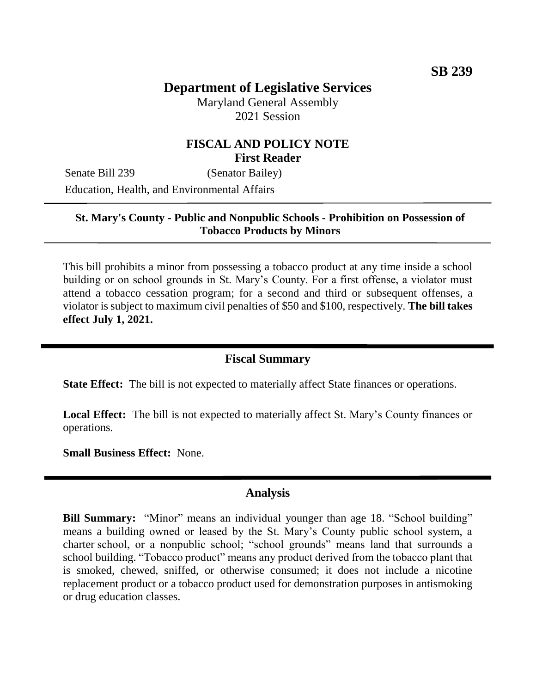# **Department of Legislative Services**

Maryland General Assembly 2021 Session

## **FISCAL AND POLICY NOTE First Reader**

Senate Bill 239 (Senator Bailey) Education, Health, and Environmental Affairs

### **St. Mary's County - Public and Nonpublic Schools - Prohibition on Possession of Tobacco Products by Minors**

This bill prohibits a minor from possessing a tobacco product at any time inside a school building or on school grounds in St. Mary's County. For a first offense, a violator must attend a tobacco cessation program; for a second and third or subsequent offenses, a violator is subject to maximum civil penalties of \$50 and \$100, respectively. **The bill takes effect July 1, 2021.** 

#### **Fiscal Summary**

**State Effect:** The bill is not expected to materially affect State finances or operations.

**Local Effect:** The bill is not expected to materially affect St. Mary's County finances or operations.

**Small Business Effect:** None.

#### **Analysis**

**Bill Summary:** "Minor" means an individual younger than age 18. "School building" means a building owned or leased by the St. Mary's County public school system, a charter school, or a nonpublic school; "school grounds" means land that surrounds a school building. "Tobacco product" means any product derived from the tobacco plant that is smoked, chewed, sniffed, or otherwise consumed; it does not include a nicotine replacement product or a tobacco product used for demonstration purposes in antismoking or drug education classes.